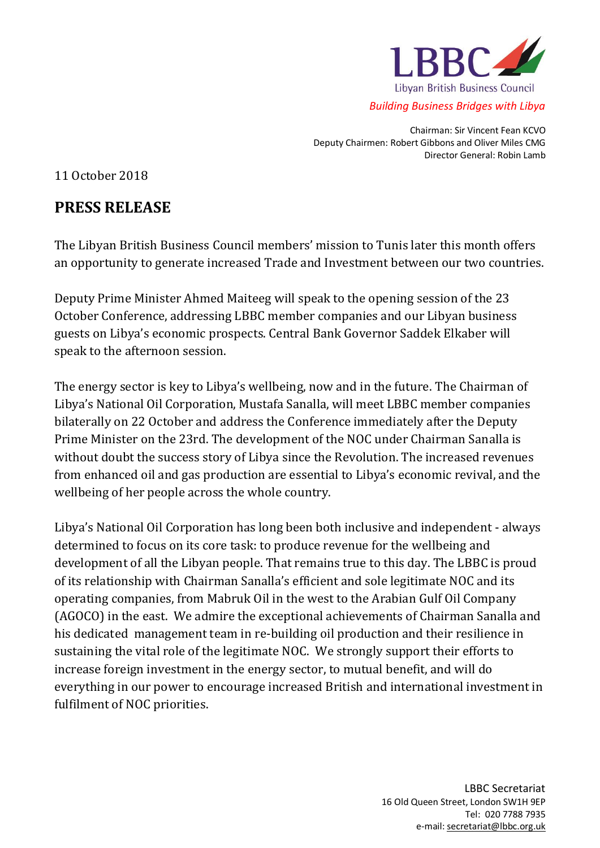

*Building Business Bridges with Libya*

Chairman: Sir Vincent Fean KCVO Deputy Chairmen: Robert Gibbons and Oliver Miles CMG Director General: Robin Lamb

i. 11 October 2018

## **PRESS RELEASE**

The Libyan British Business Council members' mission to Tunis later this month offers an opportunity to generate increased Trade and Investment between our two countries.

Deputy Prime Minister Ahmed Maiteeg will speak to the opening session of the 23 October Conference, addressing LBBC member companies and our Libyan business guests on Libya's economic prospects. Central Bank Governor Saddek Elkaber will speak to the afternoon session.

The energy sector is key to Libya's wellbeing, now and in the future. The Chairman of Libya's National Oil Corporation, Mustafa Sanalla, will meet LBBC member companies bilaterally on 22 October and address the Conference immediately after the Deputy Prime Minister on the 23rd. The development of the NOC under Chairman Sanalla is without doubt the success story of Libya since the Revolution. The increased revenues from enhanced oil and gas production are essential to Libya's economic revival, and the wellbeing of her people across the whole country.

Libya's National Oil Corporation has long been both inclusive and independent - always determined to focus on its core task: to produce revenue for the wellbeing and development of all the Libyan people. That remains true to this day. The LBBC is proud of its relationship with Chairman Sanalla's efficient and sole legitimate NOC and its operating companies, from Mabruk Oil in the west to the Arabian Gulf Oil Company (AGOCO) in the east. We admire the exceptional achievements of Chairman Sanalla and his dedicated management team in re-building oil production and their resilience in sustaining the vital role of the legitimate NOC. We strongly support their efforts to increase foreign investment in the energy sector, to mutual benefit, and will do everything in our power to encourage increased British and international investment in fulfilment of NOC priorities.

> LBBC Secretariat 16 Old Queen Street, London SW1H 9EP Tel: 020 7788 7935 e-mail[: secretariat@lbbc.org.uk](mailto:secretariat@lbbc.org.uk)